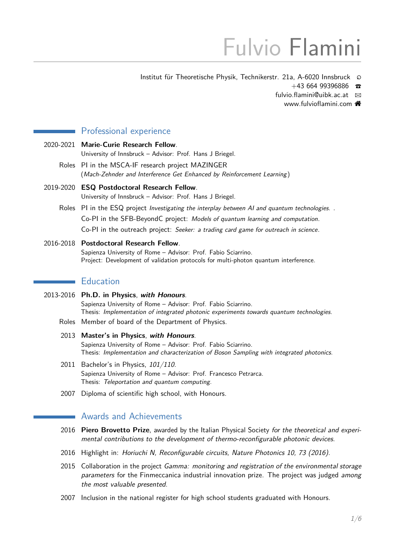# Fulvio Flamini

Institut für Theoretische Physik, Technikerstr. 21a, A-6020 Innsbruck Q

 $+43,664,99396886$ 

fulvio.flamini@uibk.ac.at  $\boxtimes$ 

[www.fulvioflamini.com](https://www.fulvioflamini.com)

## Professional experience

- 2020-2021 **Marie-Curie Research Fellow**. University of Innsbruck – Advisor: Prof. Hans J Briegel.
	- Roles PI in the MSCA-IF research project MAZINGER (Mach-Zehnder and Interference Get Enhanced by Reinforcement Learning )
- 2019-2020 **ESQ Postdoctoral Research Fellow**. University of Innsbruck – Advisor: Prof. Hans J Briegel.
	- Roles PI in the ESQ project Investigating the interplay between AI and quantum technologies. . Co-PI in the SFB-BeyondC project: Models of quantum learning and computation. Co-PI in the outreach project: Seeker: a trading card game for outreach in science.
- 2016-2018 **Postdoctoral Research Fellow**. Sapienza University of Rome – Advisor: Prof. Fabio Sciarrino. Project: Development of validation protocols for multi-photon quantum interference.

## **Education**

- 2013-2016 **Ph.D. in Physics**, **with Honours**. Sapienza University of Rome – Advisor: Prof. Fabio Sciarrino. Thesis: Implementation of integrated photonic experiments towards quantum technologies. Roles Member of board of the Department of Physics.
	- 2013 **Master's in Physics**, **with Honours**. Sapienza University of Rome – Advisor: Prof. Fabio Sciarrino. Thesis: Implementation and characterization of Boson Sampling with integrated photonics.
	- 2011 Bachelor's in Physics, 101/110. Sapienza University of Rome – Advisor: Prof. Francesco Petrarca. Thesis: Teleportation and quantum computing.
	- 2007 Diploma of scientific high school, with Honours.

## **Awards and Achievements**

- 2016 **Piero Brovetto Prize**, awarded by the Italian Physical Society for the theoretical and experimental contributions to the development of thermo-reconfigurable photonic devices.
- 2016 Highlight in: Horiuchi N, Reconfigurable circuits, Nature Photonics 10, 73 (2016).
- 2015 Collaboration in the project Gamma: monitoring and registration of the environmental storage parameters for the Finmeccanica industrial innovation prize. The project was judged among the most valuable presented.
- 2007 Inclusion in the national register for high school students graduated with Honours.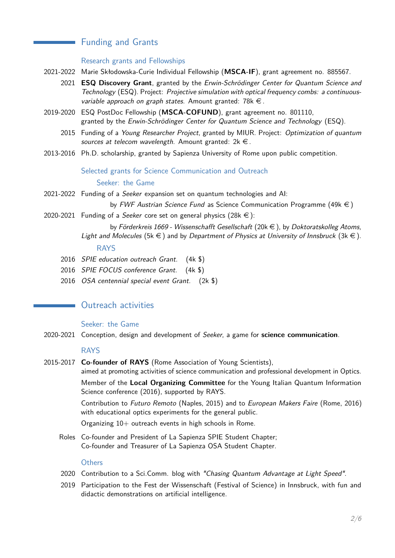# Funding and Grants

#### Research grants and Fellowships

- 2021-2022 Marie Skłodowska-Curie Individual Fellowship (**MSCA-IF**), grant agreement no. 885567.
	- 2021 **ESQ Discovery Grant**, granted by the Erwin-Schrödinger Center for Quantum Science and Technology (ESQ). Project: Projective simulation with optical frequency combs: a continuousvariable approach on graph states. Amount granted: 78 $k \in I$ .
- 2019-2020 ESQ PostDoc Fellowship (**MSCA-COFUND**), grant agreement no. 801110, granted by the Erwin-Schrödinger Center for Quantum Science and Technology (ESQ).
	- 2015 Funding of a Young Researcher Project, granted by MIUR. Project: Optimization of quantum sources at telecom wavelength. Amount granted:  $2k \in I$ .
- 2013-2016 Ph.D. scholarship, granted by Sapienza University of Rome upon public competition.

# Selected grants for Science Communication and Outreach Seeker: the Game

2021-2022 Funding of a Seeker expansion set on quantum technologies and AI:

by FWF Austrian Science Fund as Science Communication Programme (49k  $\in$ )

- 2020-2021 Funding of a Seeker core set on general physics (28k  $\in$ ):
	- by Förderkreis 1669 Wissenschafft Gesellschaft (20 $k \in$ ), by Doktoratskolleg Atoms, Light and Molecules (5k  $\in$ ) and by Department of Physics at University of Innsbruck (3k  $\in$ ). RAYS
	- 2016 SPIE education outreach Grant. (4k \$)
	- 2016 SPIE FOCUS conference Grant. (4k \$)
	- 2016 OSA centennial special event Grant. (2k \$)

# **No Contreach activities**

#### Seeker: the Game

2020-2021 Conception, design and development of Seeker, a game for **science communication**.

#### RAYS

2015-2017 **Co-founder of RAYS** (Rome Association of Young Scientists),

aimed at promoting activities of science communication and professional development in Optics. Member of the **Local Organizing Committee** for the Young Italian Quantum Information Science conference (2016), supported by RAYS.

Contribution to Futuro Remoto (Naples, 2015) and to European Makers Faire (Rome, 2016) with educational optics experiments for the general public.

Organizing 10+ outreach events in high schools in Rome.

Roles Co-founder and President of La Sapienza SPIE Student Chapter; Co-founder and Treasurer of La Sapienza OSA Student Chapter.

#### **Others**

- 2020 Contribution to a Sci.Comm. blog with "Chasing Quantum Advantage at Light Speed".
- 2019 Participation to the Fest der Wissenschaft (Festival of Science) in Innsbruck, with fun and didactic demonstrations on artificial intelligence.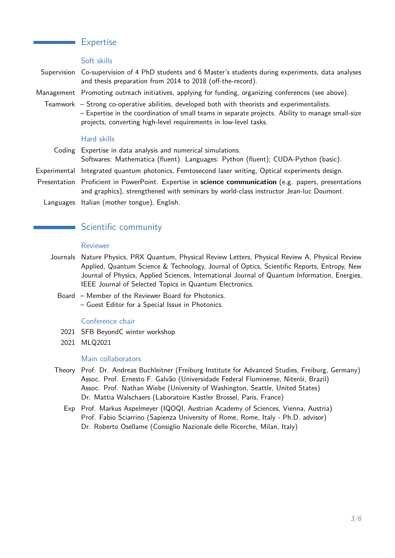## **Expertise**

#### Soft skills

Supervision Co-supervision of 4 PhD students and 6 Master's students during experiments, data analyses and thesis preparation from 2014 to 2018 (off-the-record).

- Management Promoting outreach initiatives, applying for funding, organizing conferences (see above).
	- Teamwork Strong co-operative abilities, developed both with theorists and experimentalists. – Expertise in the coordination of small teams in separate projects. Ability to manage small-size projects, converting high-level requirements in low-level tasks.

#### Hard skills

- Coding Expertise in data analysis and numerical simulations.
- Softwares: Mathematica (fluent). Languages: Python (fluent); CUDA-Python (basic).
- Experimental Integrated quantum photonics, Femtosecond laser writing, Optical experiments design.
- Presentation Proficient in PowerPoint. Expertise in **science communication** (e.g. papers, presentations and graphics), strengthened with seminars by world-class instructor Jean-luc Doumont.
	- Languages Italian (mother tongue), English.

# Scientific community

#### Reviewer

- Journals Nature Physics, PRX Quantum, Physical Review Letters, Physical Review A, Physical Review Applied, Quantum Science & Technology, Journal of Optics, Scientific Reports, Entropy, New Journal of Physics, Applied Sciences, International Journal of Quantum Information, Energies, IEEE Journal of Selected Topics in Quantum Electronics.
	- Board Member of the Reviewer Board for Photonics. – Guest Editor for a Special Issue in Photonics.

#### Conference chair

- 2021 SFB BeyondC winter workshop
- 2021 MLQ2021

#### Main collaborators

- Theory Prof. Dr. Andreas Buchleitner (Freiburg Institute for Advanced Studies, Freiburg, Germany) Assoc. Prof. Ernesto F. Galvão (Universidade Federal Fluminense, Niterói, Brazil) Assoc. Prof. Nathan Wiebe (University of Washington, Seattle, United States) Dr. Mattia Walschaers (Laboratoire Kastler Brossel, Paris, France)
	- Exp Prof. Markus Aspelmeyer (IQOQI, Austrian Academy of Sciences, Vienna, Austria) Prof. Fabio Sciarrino (Sapienza University of Rome, Rome, Italy - Ph.D. advisor) Dr. Roberto Osellame (Consiglio Nazionale delle Ricerche, Milan, Italy)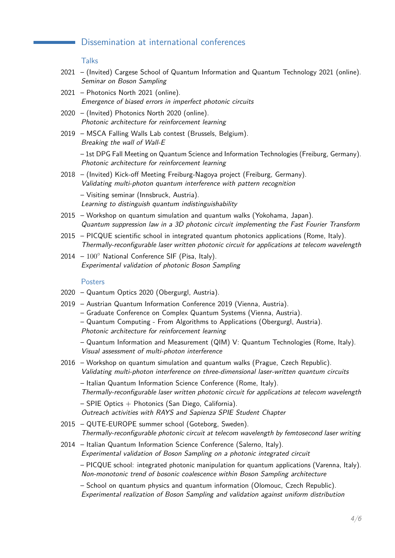# Dissemination at international conferences

**Talks** 

- 2021 (Invited) Cargese School of Quantum Information and Quantum Technology 2021 (online). Seminar on Boson Sampling
- 2021 Photonics North 2021 (online). Emergence of biased errors in imperfect photonic circuits
- 2020 (Invited) Photonics North 2020 (online). Photonic architecture for reinforcement learning
- 2019 MSCA Falling Walls Lab contest (Brussels, Belgium). Breaking the wall of Wall-E

– 1st DPG Fall Meeting on Quantum Science and Information Technologies (Freiburg, Germany). Photonic architecture for reinforcement learning

2018 – (Invited) Kick-off Meeting Freiburg-Nagoya project (Freiburg, Germany). Validating multi-photon quantum interference with pattern recognition

– Visiting seminar (Innsbruck, Austria). Learning to distinguish quantum indistinguishability

- 2015 Workshop on quantum simulation and quantum walks (Yokohama, Japan). Quantum suppression law in a 3D photonic circuit implementing the Fast Fourier Transform
- 2015 PICQUE scientific school in integrated quantum photonics applications (Rome, Italy). Thermally-reconfigurable laser written photonic circuit for applications at telecom wavelength
- $2014 100^\circ$  National Conference SIF (Pisa, Italy). Experimental validation of photonic Boson Sampling

#### **Posters**

- 2020 Quantum Optics 2020 (Obergurgl, Austria).
- 2019 Austrian Quantum Information Conference 2019 (Vienna, Austria).
	- Graduate Conference on Complex Quantum Systems (Vienna, Austria).
	- Quantum Computing From Algorithms to Applications (Obergurgl, Austria). Photonic architecture for reinforcement learning
	- Quantum Information and Measurement (QIM) V: Quantum Technologies (Rome, Italy). Visual assessment of multi-photon interference
- 2016 Workshop on quantum simulation and quantum walks (Prague, Czech Republic). Validating multi-photon interference on three-dimensional laser-written quantum circuits
	- Italian Quantum Information Science Conference (Rome, Italy).

Thermally-reconfigurable laser written photonic circuit for applications at telecom wavelength

 $-$  SPIE Optics  $+$  Photonics (San Diego, California).

Outreach activities with RAYS and Sapienza SPIE Student Chapter

- 2015 QUTE-EUROPE summer school (Goteborg, Sweden). Thermally-reconfigurable photonic circuit at telecom wavelength by femtosecond laser writing
- 2014 Italian Quantum Information Science Conference (Salerno, Italy). Experimental validation of Boson Sampling on a photonic integrated circuit

– PICQUE school: integrated photonic manipulation for quantum applications (Varenna, Italy). Non-monotonic trend of bosonic coalescence within Boson Sampling architecture

– School on quantum physics and quantum information (Olomouc, Czech Republic). Experimental realization of Boson Sampling and validation against uniform distribution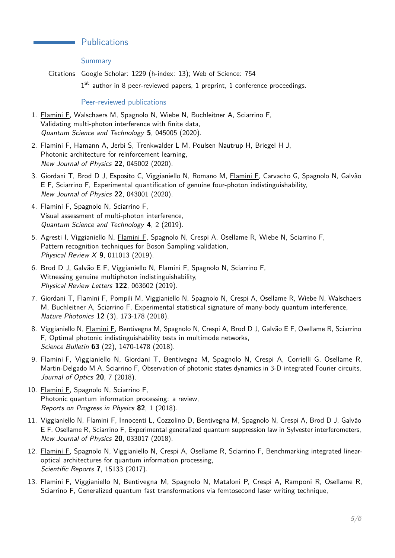# **Publications**

Summary

Citations Google Scholar: 1229 (h-index: 13); Web of Science: 754

1<sup>st</sup> author in 8 peer-reviewed papers, 1 preprint, 1 conference proceedings.

#### Peer-reviewed publications

- 1. Flamini F, Walschaers M, Spagnolo N, Wiebe N, Buchleitner A, Sciarrino F, Validating multi-photon interference with finite data, Quantum Science and Technology **5**, 045005 (2020).
- 2. Flamini F, Hamann A, Jerbi S, Trenkwalder L M, Poulsen Nautrup H, Briegel H J, Photonic architecture for reinforcement learning, New Journal of Physics **22**, 045002 (2020).
- 3. Giordani T, Brod D J, Esposito C, Viggianiello N, Romano M, Flamini F, Carvacho G, Spagnolo N, Galvão E F, Sciarrino F, Experimental quantification of genuine four-photon indistinguishability, New Journal of Physics **22**, 043001 (2020).
- 4. Flamini F, Spagnolo N, Sciarrino F, Visual assessment of multi-photon interference, Quantum Science and Technology **4**, 2 (2019).
- 5. Agresti I, Viggianiello N, Flamini F, Spagnolo N, Crespi A, Osellame R, Wiebe N, Sciarrino F, Pattern recognition techniques for Boson Sampling validation, Physical Review X **9**, 011013 (2019).
- 6. Brod D J, Galvão E F, Viggianiello N, Flamini F, Spagnolo N, Sciarrino F, Witnessing genuine multiphoton indistinguishability, Physical Review Letters **122**, 063602 (2019).
- 7. Giordani T, Flamini F, Pompili M, Viggianiello N, Spagnolo N, Crespi A, Osellame R, Wiebe N, Walschaers M, Buchleitner A, Sciarrino F, Experimental statistical signature of many-body quantum interference, Nature Photonics **12** (3), 173-178 (2018).
- 8. Viggianiello N, Flamini F, Bentivegna M, Spagnolo N, Crespi A, Brod D J, Galvão E F, Osellame R, Sciarrino F, Optimal photonic indistinguishability tests in multimode networks, Science Bulletin **63** (22), 1470-1478 (2018).
- 9. Flamini F, Viggianiello N, Giordani T, Bentivegna M, Spagnolo N, Crespi A, Corrielli G, Osellame R, Martin-Delgado M A, Sciarrino F, Observation of photonic states dynamics in 3-D integrated Fourier circuits, Journal of Optics **20**, 7 (2018).
- 10. Flamini F, Spagnolo N, Sciarrino F, Photonic quantum information processing: a review, Reports on Progress in Physics **82**, 1 (2018).
- 11. Viggianiello N, Flamini F, Innocenti L, Cozzolino D, Bentivegna M, Spagnolo N, Crespi A, Brod D J, Galvão E F, Osellame R, Sciarrino F, Experimental generalized quantum suppression law in Sylvester interferometers, New Journal of Physics **20**, 033017 (2018).
- 12. Flamini F, Spagnolo N, Viggianiello N, Crespi A, Osellame R, Sciarrino F, Benchmarking integrated linearoptical architectures for quantum information processing, Scientific Reports **7**, 15133 (2017).
- 13. Flamini F, Viggianiello N, Bentivegna M, Spagnolo N, Mataloni P, Crespi A, Ramponi R, Osellame R, Sciarrino F, Generalized quantum fast transformations via femtosecond laser writing technique,